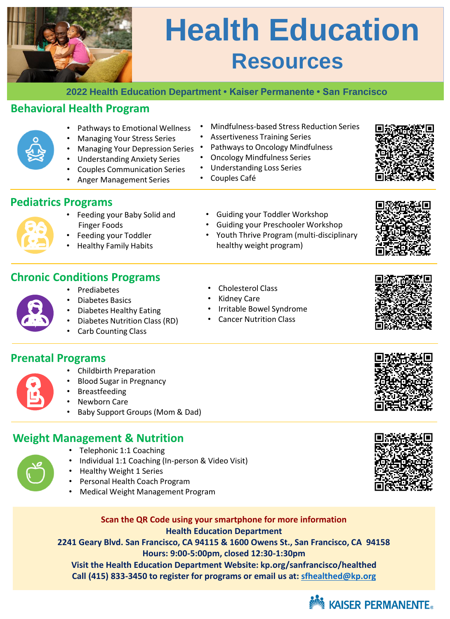

# **Health Education Resources**

**2022 Health Education Department • Kaiser Permanente • San Francisco**

## **Behavioral Health Program**



## **Pediatrics Programs**

- Feeding your Baby Solid and Finger Foods
- Feeding your Toddler
- Healthy Family Habits
- Guiding your Preschooler Workshop • Youth Thrive Program (multi-disciplinary

• Cholesterol Class • Kidney Care

healthy weight program)

• Irritable Bowel Syndrome • Cancer Nutrition Class

• Guiding your Toddler Workshop



- Prediabetes
- Diabetes Basics
- Diabetes Healthy Eating
- Diabetes Nutrition Class (RD)
- Carb Counting Class

### **Prenatal Programs**

- Childbirth Preparation
- Blood Sugar in Pregnancy
- **Breastfeeding**
- Newborn Care
- Baby Support Groups (Mom & Dad)

### **Weight Management & Nutrition**

- Telephonic 1:1 Coaching
- Individual 1:1 Coaching (In-person & Video Visit)
- Healthy Weight 1 Series
- Personal Health Coach Program
- Medical Weight Management Program